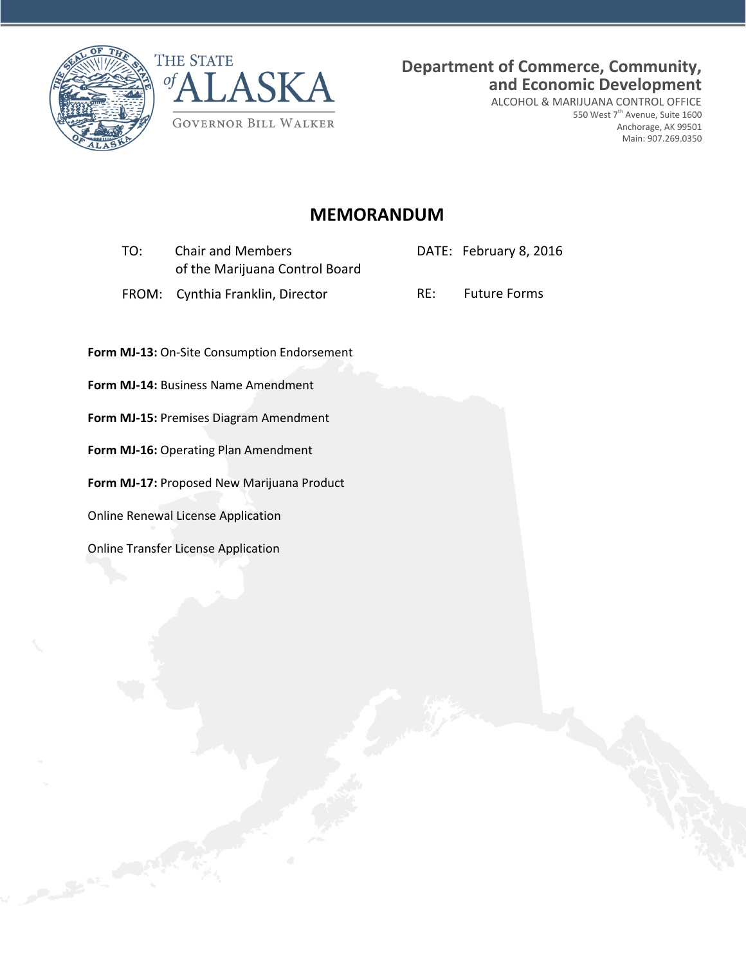

Caroline Contract



**Department of Commerce, Community, and Economic Development**

ALCOHOL & MARIJUANA CONTROL OFFICE 550 West 7<sup>th</sup> Avenue, Suite 1600 Anchorage, AK 99501 Main: 907.269.0350

# **MEMORANDUM**

| TO:   | <b>Chair and Members</b><br>of the Marijuana Control Board |     | DATE: February 8, 2016 |  |
|-------|------------------------------------------------------------|-----|------------------------|--|
| FROM: | Cynthia Franklin, Director                                 | RE: | <b>Future Forms</b>    |  |
|       | Form MJ-13: On-Site Consumption Endorsement                |     |                        |  |
|       | Form MJ-14: Business Name Amendment                        |     |                        |  |
|       | Form MJ-15: Premises Diagram Amendment                     |     |                        |  |
|       | Form MJ-16: Operating Plan Amendment                       |     |                        |  |
|       | Form MJ-17: Proposed New Marijuana Product                 |     |                        |  |
|       | <b>Online Renewal License Application</b>                  |     |                        |  |
|       | <b>Online Transfer License Application</b>                 |     |                        |  |